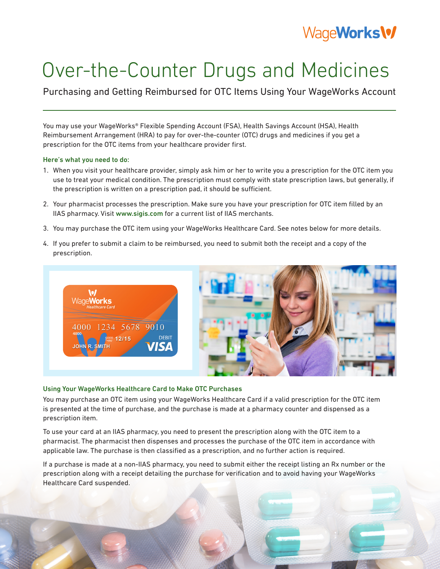# WageWorks\%

# Over-the-Counter Drugs and Medicines

Purchasing and Getting Reimbursed for OTC Items Using Your WageWorks Account

You may use your WageWorks® Flexible Spending Account (FSA), Health Savings Account (HSA), Health Reimbursement Arrangement (HRA) to pay for over-the-counter (OTC) drugs and medicines if you get a prescription for the OTC items from your healthcare provider first.

#### Here's what you need to do:

- 1. When you visit your healthcare provider, simply ask him or her to write you a prescription for the OTC item you use to treat your medical condition. The prescription must comply with state prescription laws, but generally, if the prescription is written on a prescription pad, it should be sufficient.
- 2. Your pharmacist processes the prescription. Make sure you have your prescription for OTC item filled by an IIAS pharmacy. Visit www.sigis.com for a current list of IIAS merchants.
- 3. You may purchase the OTC item using your WageWorks Healthcare Card. See notes below for more details.
- 4. If you prefer to submit a claim to be reimbursed, you need to submit both the receipt and a copy of the prescription.



### Using Your WageWorks Healthcare Card to Make OTC Purchases

You may purchase an OTC item using your WageWorks Healthcare Card if a valid prescription for the OTC item is presented at the time of purchase, and the purchase is made at a pharmacy counter and dispensed as a prescription item.

To use your card at an IIAS pharmacy, you need to present the prescription along with the OTC item to a pharmacist. The pharmacist then dispenses and processes the purchase of the OTC item in accordance with applicable law. The purchase is then classified as a prescription, and no further action is required.

If a purchase is made at a non-IIAS pharmacy, you need to submit either the receipt listing an Rx number or the prescription along with a receipt detailing the purchase for verification and to avoid having your WageWorks Healthcare Card suspended.